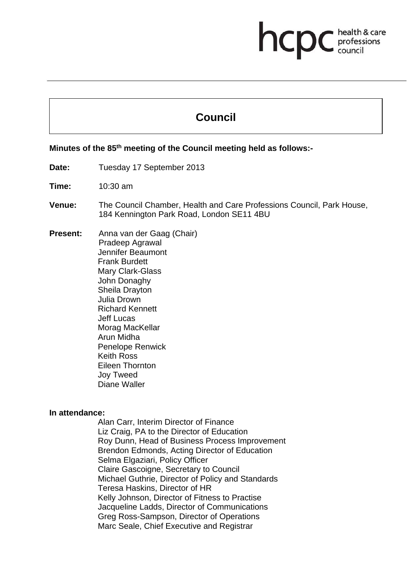# **hcpC** *c health* & care

# **Council**

**Minutes of the 78th meeting of the Health Professions Council held as follows:-** 

# **Minutes of the 85th meeting of the Council meeting held as follows:-**

Date: Tuesday 17 September 2013

**Time:** 10:30 am

**Venue:** The Council Chamber, Health and Care Professions Council, Park House, 184 Kennington Park Road, London SE11 4BU

**Present:** Anna van der Gaag (Chair) Pradeep Agrawal Jennifer Beaumont Frank Burdett Mary Clark-Glass John Donaghy Sheila Drayton Julia Drown Richard Kennett Jeff Lucas Morag MacKellar Arun Midha Penelope Renwick Keith Ross Eileen Thornton Joy Tweed Diane Waller

#### **In attendance:**

Alan Carr, Interim Director of Finance Liz Craig, PA to the Director of Education Roy Dunn, Head of Business Process Improvement Brendon Edmonds, Acting Director of Education Selma Elgaziari, Policy Officer Claire Gascoigne, Secretary to Council Michael Guthrie, Director of Policy and Standards Teresa Haskins, Director of HR Kelly Johnson, Director of Fitness to Practise Jacqueline Ladds, Director of Communications Greg Ross-Sampson, Director of Operations Marc Seale, Chief Executive and Registrar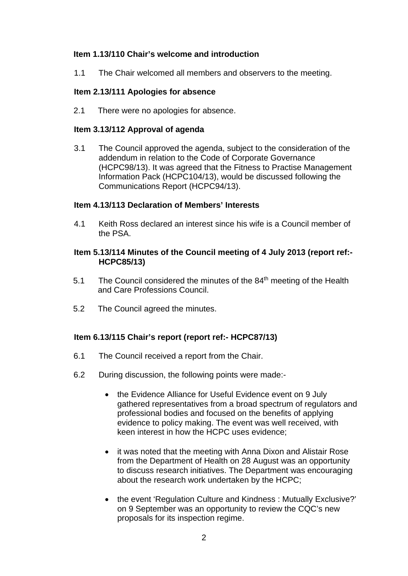# **Item 1.13/110 Chair's welcome and introduction**

1.1 The Chair welcomed all members and observers to the meeting.

## **Item 2.13/111 Apologies for absence**

2.1 There were no apologies for absence.

#### **Item 3.13/112 Approval of agenda**

3.1 The Council approved the agenda, subject to the consideration of the addendum in relation to the Code of Corporate Governance (HCPC98/13). It was agreed that the Fitness to Practise Management Information Pack (HCPC104/13), would be discussed following the Communications Report (HCPC94/13).

#### **Item 4.13/113 Declaration of Members' Interests**

4.1 Keith Ross declared an interest since his wife is a Council member of the PSA.

#### **Item 5.13/114 Minutes of the Council meeting of 4 July 2013 (report ref:- HCPC85/13)**

- 5.1 The Council considered the minutes of the 84<sup>th</sup> meeting of the Health and Care Professions Council.
- 5.2 The Council agreed the minutes.

## **Item 6.13/115 Chair's report (report ref:- HCPC87/13)**

- 6.1 The Council received a report from the Chair.
- 6.2 During discussion, the following points were made:-
	- the Evidence Alliance for Useful Evidence event on 9 July gathered representatives from a broad spectrum of regulators and professional bodies and focused on the benefits of applying evidence to policy making. The event was well received, with keen interest in how the HCPC uses evidence;
	- it was noted that the meeting with Anna Dixon and Alistair Rose from the Department of Health on 28 August was an opportunity to discuss research initiatives. The Department was encouraging about the research work undertaken by the HCPC;
	- the event 'Regulation Culture and Kindness: Mutually Exclusive?' on 9 September was an opportunity to review the CQC's new proposals for its inspection regime.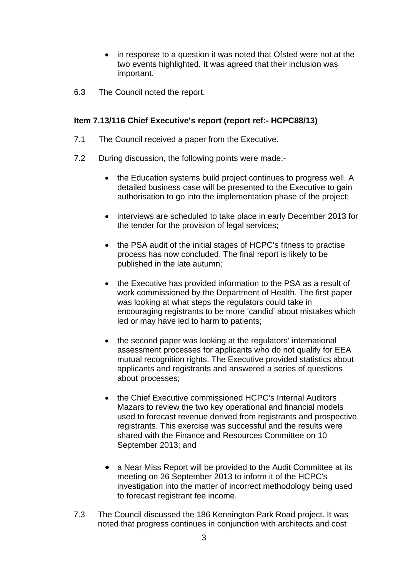- in response to a question it was noted that Ofsted were not at the two events highlighted. It was agreed that their inclusion was important.
- 6.3 The Council noted the report.

# **Item 7.13/116 Chief Executive's report (report ref:- HCPC88/13)**

- 7.1 The Council received a paper from the Executive.
- 7.2 During discussion, the following points were made:-
	- the Education systems build project continues to progress well. A detailed business case will be presented to the Executive to gain authorisation to go into the implementation phase of the project;
	- interviews are scheduled to take place in early December 2013 for the tender for the provision of legal services;
	- the PSA audit of the initial stages of HCPC's fitness to practise process has now concluded. The final report is likely to be published in the late autumn;
	- the Executive has provided information to the PSA as a result of work commissioned by the Department of Health. The first paper was looking at what steps the regulators could take in encouraging registrants to be more 'candid' about mistakes which led or may have led to harm to patients;
	- the second paper was looking at the regulators' international assessment processes for applicants who do not qualify for EEA mutual recognition rights. The Executive provided statistics about applicants and registrants and answered a series of questions about processes;
	- the Chief Executive commissioned HCPC's Internal Auditors Mazars to review the two key operational and financial models used to forecast revenue derived from registrants and prospective registrants. This exercise was successful and the results were shared with the Finance and Resources Committee on 10 September 2013; and
	- a Near Miss Report will be provided to the Audit Committee at its meeting on 26 September 2013 to inform it of the HCPC's investigation into the matter of incorrect methodology being used to forecast registrant fee income.
- 7.3 The Council discussed the 186 Kennington Park Road project. It was noted that progress continues in conjunction with architects and cost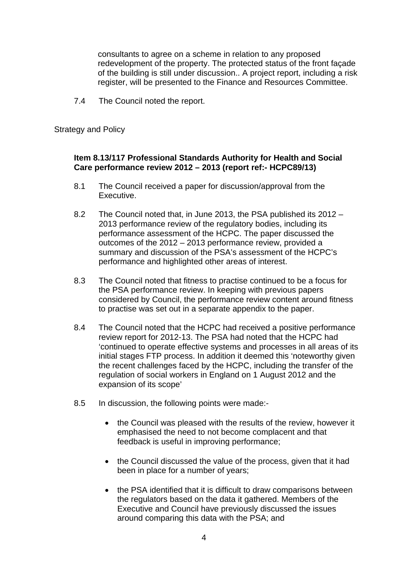consultants to agree on a scheme in relation to any proposed redevelopment of the property. The protected status of the front façade of the building is still under discussion.. A project report, including a risk register, will be presented to the Finance and Resources Committee.

7.4 The Council noted the report.

Strategy and Policy

## **Item 8.13/117 Professional Standards Authority for Health and Social Care performance review 2012 – 2013 (report ref:- HCPC89/13)**

- 8.1 The Council received a paper for discussion/approval from the Executive.
- 8.2 The Council noted that, in June 2013, the PSA published its 2012 2013 performance review of the regulatory bodies, including its performance assessment of the HCPC. The paper discussed the outcomes of the 2012 – 2013 performance review, provided a summary and discussion of the PSA's assessment of the HCPC's performance and highlighted other areas of interest.
- 8.3 The Council noted that fitness to practise continued to be a focus for the PSA performance review. In keeping with previous papers considered by Council, the performance review content around fitness to practise was set out in a separate appendix to the paper.
- 8.4 The Council noted that the HCPC had received a positive performance review report for 2012-13. The PSA had noted that the HCPC had 'continued to operate effective systems and processes in all areas of its initial stages FTP process. In addition it deemed this 'noteworthy given the recent challenges faced by the HCPC, including the transfer of the regulation of social workers in England on 1 August 2012 and the expansion of its scope'
- 8.5 In discussion, the following points were made:-
	- the Council was pleased with the results of the review, however it emphasised the need to not become complacent and that feedback is useful in improving performance;
	- the Council discussed the value of the process, given that it had been in place for a number of years;
	- the PSA identified that it is difficult to draw comparisons between the regulators based on the data it gathered. Members of the Executive and Council have previously discussed the issues around comparing this data with the PSA; and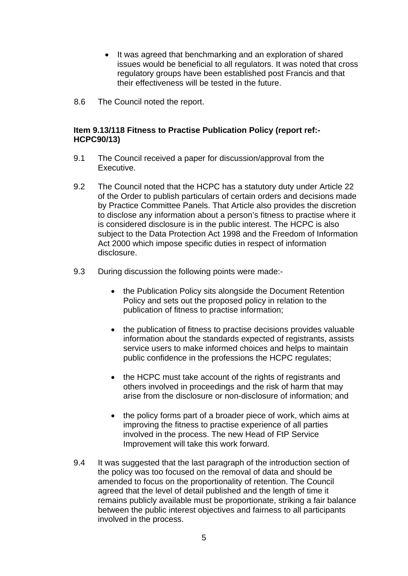- It was agreed that benchmarking and an exploration of shared issues would be beneficial to all regulators. It was noted that cross regulatory groups have been established post Francis and that their effectiveness will be tested in the future.
- 8.6 The Council noted the report.

#### **Item 9.13/118 Fitness to Practise Publication Policy (report ref:- HCPC90/13)**

- 9.1 The Council received a paper for discussion/approval from the Executive.
- 9.2 The Council noted that the HCPC has a statutory duty under Article 22 of the Order to publish particulars of certain orders and decisions made by Practice Committee Panels. That Article also provides the discretion to disclose any information about a person's fitness to practise where it is considered disclosure is in the public interest. The HCPC is also subject to the Data Protection Act 1998 and the Freedom of Information Act 2000 which impose specific duties in respect of information disclosure.
- 9.3 During discussion the following points were made:-
	- the Publication Policy sits alongside the Document Retention Policy and sets out the proposed policy in relation to the publication of fitness to practise information;
	- the publication of fitness to practise decisions provides valuable information about the standards expected of registrants, assists service users to make informed choices and helps to maintain public confidence in the professions the HCPC regulates;
	- the HCPC must take account of the rights of registrants and others involved in proceedings and the risk of harm that may arise from the disclosure or non-disclosure of information; and
	- the policy forms part of a broader piece of work, which aims at improving the fitness to practise experience of all parties involved in the process. The new Head of FtP Service Improvement will take this work forward.
- 9.4 It was suggested that the last paragraph of the introduction section of the policy was too focused on the removal of data and should be amended to focus on the proportionality of retention. The Council agreed that the level of detail published and the length of time it remains publicly available must be proportionate, striking a fair balance between the public interest objectives and fairness to all participants involved in the process.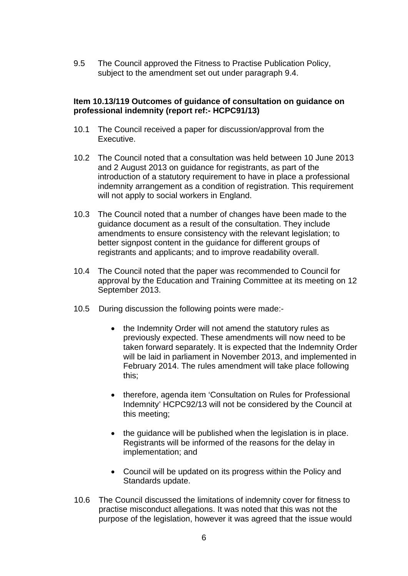9.5 The Council approved the Fitness to Practise Publication Policy, subject to the amendment set out under paragraph 9.4.

#### **Item 10.13/119 Outcomes of guidance of consultation on guidance on professional indemnity (report ref:- HCPC91/13)**

- 10.1 The Council received a paper for discussion/approval from the Executive.
- 10.2 The Council noted that a consultation was held between 10 June 2013 and 2 August 2013 on guidance for registrants, as part of the introduction of a statutory requirement to have in place a professional indemnity arrangement as a condition of registration. This requirement will not apply to social workers in England.
- 10.3 The Council noted that a number of changes have been made to the guidance document as a result of the consultation. They include amendments to ensure consistency with the relevant legislation; to better signpost content in the guidance for different groups of registrants and applicants; and to improve readability overall.
- 10.4 The Council noted that the paper was recommended to Council for approval by the Education and Training Committee at its meeting on 12 September 2013.
- 10.5 During discussion the following points were made:-
	- the Indemnity Order will not amend the statutory rules as previously expected. These amendments will now need to be taken forward separately. It is expected that the Indemnity Order will be laid in parliament in November 2013, and implemented in February 2014. The rules amendment will take place following this;
	- therefore, agenda item 'Consultation on Rules for Professional Indemnity' HCPC92/13 will not be considered by the Council at this meeting;
	- the quidance will be published when the legislation is in place. Registrants will be informed of the reasons for the delay in implementation; and
	- Council will be updated on its progress within the Policy and Standards update.
- 10.6 The Council discussed the limitations of indemnity cover for fitness to practise misconduct allegations. It was noted that this was not the purpose of the legislation, however it was agreed that the issue would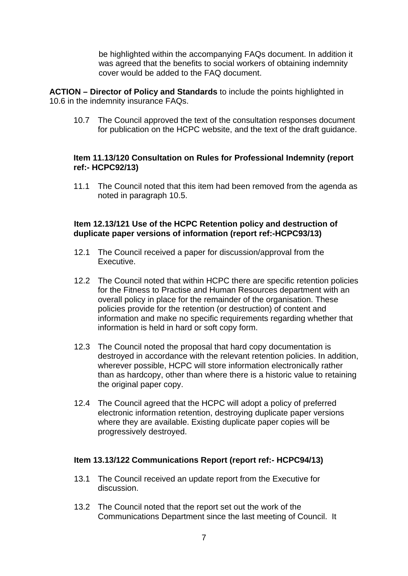be highlighted within the accompanying FAQs document. In addition it was agreed that the benefits to social workers of obtaining indemnity cover would be added to the FAQ document.

**ACTION – Director of Policy and Standards** to include the points highlighted in 10.6 in the indemnity insurance FAQs.

10.7 The Council approved the text of the consultation responses document for publication on the HCPC website, and the text of the draft guidance.

## **Item 11.13/120 Consultation on Rules for Professional Indemnity (report ref:- HCPC92/13)**

11.1 The Council noted that this item had been removed from the agenda as noted in paragraph 10.5.

# **Item 12.13/121 Use of the HCPC Retention policy and destruction of duplicate paper versions of information (report ref:-HCPC93/13)**

- 12.1 The Council received a paper for discussion/approval from the Executive.
- 12.2 The Council noted that within HCPC there are specific retention policies for the Fitness to Practise and Human Resources department with an overall policy in place for the remainder of the organisation. These policies provide for the retention (or destruction) of content and information and make no specific requirements regarding whether that information is held in hard or soft copy form.
- 12.3 The Council noted the proposal that hard copy documentation is destroyed in accordance with the relevant retention policies. In addition, wherever possible, HCPC will store information electronically rather than as hardcopy, other than where there is a historic value to retaining the original paper copy.
- 12.4 The Council agreed that the HCPC will adopt a policy of preferred electronic information retention, destroying duplicate paper versions where they are available. Existing duplicate paper copies will be progressively destroyed.

## **Item 13.13/122 Communications Report (report ref:- HCPC94/13)**

- 13.1 The Council received an update report from the Executive for discussion.
- 13.2 The Council noted that the report set out the work of the Communications Department since the last meeting of Council. It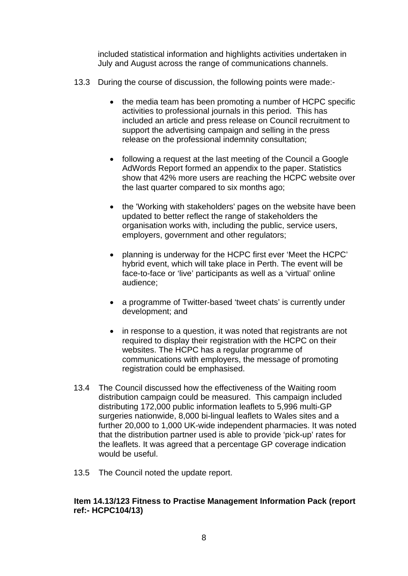included statistical information and highlights activities undertaken in July and August across the range of communications channels.

- 13.3 During the course of discussion, the following points were made:-
	- the media team has been promoting a number of HCPC specific activities to professional journals in this period. This has included an article and press release on Council recruitment to support the advertising campaign and selling in the press release on the professional indemnity consultation;
	- following a request at the last meeting of the Council a Google AdWords Report formed an appendix to the paper. Statistics show that 42% more users are reaching the HCPC website over the last quarter compared to six months ago;
	- the 'Working with stakeholders' pages on the website have been updated to better reflect the range of stakeholders the organisation works with, including the public, service users, employers, government and other regulators;
	- planning is underway for the HCPC first ever 'Meet the HCPC' hybrid event, which will take place in Perth. The event will be face-to-face or 'live' participants as well as a 'virtual' online audience;
	- a programme of Twitter-based 'tweet chats' is currently under development; and
	- in response to a question, it was noted that registrants are not required to display their registration with the HCPC on their websites. The HCPC has a regular programme of communications with employers, the message of promoting registration could be emphasised.
- 13.4 The Council discussed how the effectiveness of the Waiting room distribution campaign could be measured. This campaign included distributing 172,000 public information leaflets to 5,996 multi-GP surgeries nationwide, 8,000 bi-lingual leaflets to Wales sites and a further 20,000 to 1,000 UK-wide independent pharmacies. It was noted that the distribution partner used is able to provide 'pick-up' rates for the leaflets. It was agreed that a percentage GP coverage indication would be useful.
- 13.5 The Council noted the update report.

# **Item 14.13/123 Fitness to Practise Management Information Pack (report ref:- HCPC104/13)**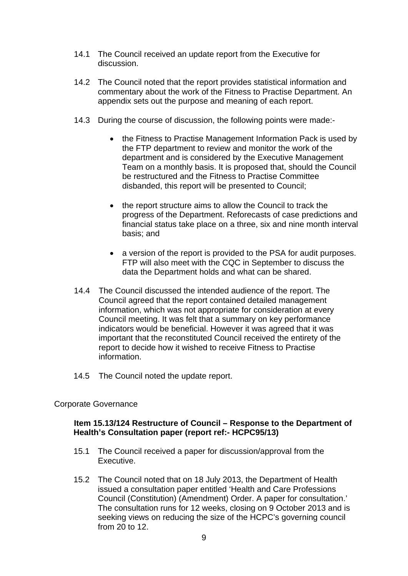- 14.1 The Council received an update report from the Executive for discussion.
- 14.2 The Council noted that the report provides statistical information and commentary about the work of the Fitness to Practise Department. An appendix sets out the purpose and meaning of each report.
- 14.3 During the course of discussion, the following points were made:-
	- the Fitness to Practise Management Information Pack is used by the FTP department to review and monitor the work of the department and is considered by the Executive Management Team on a monthly basis. It is proposed that, should the Council be restructured and the Fitness to Practise Committee disbanded, this report will be presented to Council;
	- the report structure aims to allow the Council to track the progress of the Department. Reforecasts of case predictions and financial status take place on a three, six and nine month interval basis; and
	- a version of the report is provided to the PSA for audit purposes. FTP will also meet with the CQC in September to discuss the data the Department holds and what can be shared.
- 14.4 The Council discussed the intended audience of the report. The Council agreed that the report contained detailed management information, which was not appropriate for consideration at every Council meeting. It was felt that a summary on key performance indicators would be beneficial. However it was agreed that it was important that the reconstituted Council received the entirety of the report to decide how it wished to receive Fitness to Practise information.
- 14.5 The Council noted the update report.

## Corporate Governance

## **Item 15.13/124 Restructure of Council – Response to the Department of Health's Consultation paper (report ref:- HCPC95/13)**

- 15.1 The Council received a paper for discussion/approval from the Executive.
- 15.2 The Council noted that on 18 July 2013, the Department of Health issued a consultation paper entitled 'Health and Care Professions Council (Constitution) (Amendment) Order. A paper for consultation.' The consultation runs for 12 weeks, closing on 9 October 2013 and is seeking views on reducing the size of the HCPC's governing council from 20 to 12.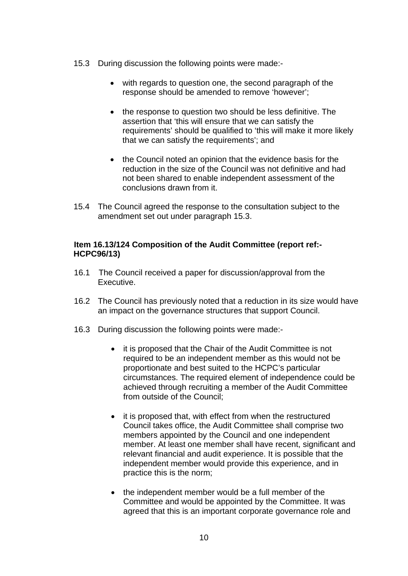- 15.3 During discussion the following points were made:
	- with regards to question one, the second paragraph of the response should be amended to remove 'however';
	- the response to question two should be less definitive. The assertion that 'this will ensure that we can satisfy the requirements' should be qualified to 'this will make it more likely that we can satisfy the requirements'; and
	- the Council noted an opinion that the evidence basis for the reduction in the size of the Council was not definitive and had not been shared to enable independent assessment of the conclusions drawn from it.
- 15.4 The Council agreed the response to the consultation subject to the amendment set out under paragraph 15.3.

# **Item 16.13/124 Composition of the Audit Committee (report ref:- HCPC96/13)**

- 16.1 The Council received a paper for discussion/approval from the Executive.
- 16.2 The Council has previously noted that a reduction in its size would have an impact on the governance structures that support Council.
- 16.3 During discussion the following points were made:-
	- it is proposed that the Chair of the Audit Committee is not required to be an independent member as this would not be proportionate and best suited to the HCPC's particular circumstances. The required element of independence could be achieved through recruiting a member of the Audit Committee from outside of the Council;
	- it is proposed that, with effect from when the restructured Council takes office, the Audit Committee shall comprise two members appointed by the Council and one independent member. At least one member shall have recent, significant and relevant financial and audit experience. It is possible that the independent member would provide this experience, and in practice this is the norm;
	- the independent member would be a full member of the Committee and would be appointed by the Committee. It was agreed that this is an important corporate governance role and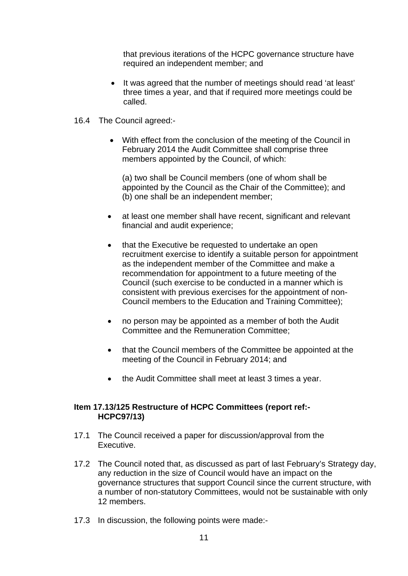that previous iterations of the HCPC governance structure have required an independent member; and

- It was agreed that the number of meetings should read 'at least' three times a year, and that if required more meetings could be called.
- 16.4 The Council agreed:-
	- With effect from the conclusion of the meeting of the Council in February 2014 the Audit Committee shall comprise three members appointed by the Council, of which:

(a) two shall be Council members (one of whom shall be appointed by the Council as the Chair of the Committee); and (b) one shall be an independent member;

- at least one member shall have recent, significant and relevant financial and audit experience;
- that the Executive be requested to undertake an open recruitment exercise to identify a suitable person for appointment as the independent member of the Committee and make a recommendation for appointment to a future meeting of the Council (such exercise to be conducted in a manner which is consistent with previous exercises for the appointment of non-Council members to the Education and Training Committee);
- no person may be appointed as a member of both the Audit Committee and the Remuneration Committee;
- that the Council members of the Committee be appointed at the meeting of the Council in February 2014; and
- the Audit Committee shall meet at least 3 times a year.

## **Item 17.13/125 Restructure of HCPC Committees (report ref:- HCPC97/13)**

- 17.1 The Council received a paper for discussion/approval from the Executive.
- 17.2 The Council noted that, as discussed as part of last February's Strategy day, any reduction in the size of Council would have an impact on the governance structures that support Council since the current structure, with a number of non-statutory Committees, would not be sustainable with only 12 members.
- 17.3 In discussion, the following points were made:-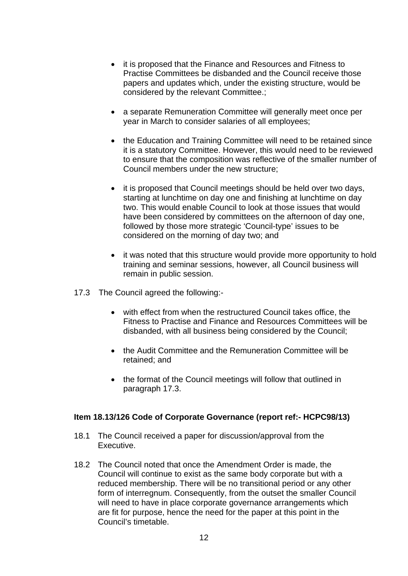- it is proposed that the Finance and Resources and Fitness to Practise Committees be disbanded and the Council receive those papers and updates which, under the existing structure, would be considered by the relevant Committee.;
- a separate Remuneration Committee will generally meet once per year in March to consider salaries of all employees;
- the Education and Training Committee will need to be retained since it is a statutory Committee. However, this would need to be reviewed to ensure that the composition was reflective of the smaller number of Council members under the new structure;
- it is proposed that Council meetings should be held over two days, starting at lunchtime on day one and finishing at lunchtime on day two. This would enable Council to look at those issues that would have been considered by committees on the afternoon of day one, followed by those more strategic 'Council-type' issues to be considered on the morning of day two; and
- it was noted that this structure would provide more opportunity to hold training and seminar sessions, however, all Council business will remain in public session.
- 17.3 The Council agreed the following:
	- with effect from when the restructured Council takes office, the Fitness to Practise and Finance and Resources Committees will be disbanded, with all business being considered by the Council;
	- the Audit Committee and the Remuneration Committee will be retained; and
	- the format of the Council meetings will follow that outlined in paragraph 17.3.

## **Item 18.13/126 Code of Corporate Governance (report ref:- HCPC98/13)**

- 18.1 The Council received a paper for discussion/approval from the Executive.
- 18.2 The Council noted that once the Amendment Order is made, the Council will continue to exist as the same body corporate but with a reduced membership. There will be no transitional period or any other form of interregnum. Consequently, from the outset the smaller Council will need to have in place corporate governance arrangements which are fit for purpose, hence the need for the paper at this point in the Council's timetable.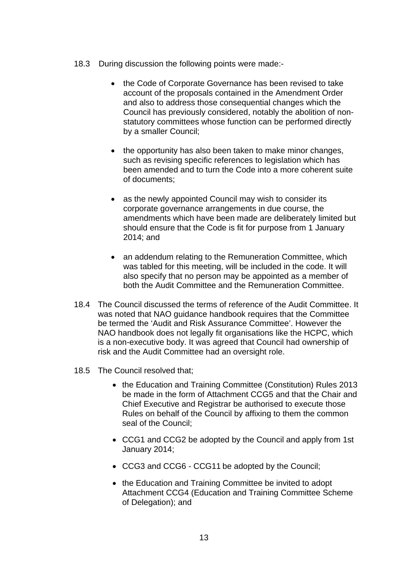- 18.3 During discussion the following points were made:-
	- the Code of Corporate Governance has been revised to take account of the proposals contained in the Amendment Order and also to address those consequential changes which the Council has previously considered, notably the abolition of nonstatutory committees whose function can be performed directly by a smaller Council;
	- the opportunity has also been taken to make minor changes, such as revising specific references to legislation which has been amended and to turn the Code into a more coherent suite of documents;
	- as the newly appointed Council may wish to consider its corporate governance arrangements in due course, the amendments which have been made are deliberately limited but should ensure that the Code is fit for purpose from 1 January 2014; and
	- an addendum relating to the Remuneration Committee, which was tabled for this meeting, will be included in the code. It will also specify that no person may be appointed as a member of both the Audit Committee and the Remuneration Committee.
- 18.4 The Council discussed the terms of reference of the Audit Committee. It was noted that NAO guidance handbook requires that the Committee be termed the 'Audit and Risk Assurance Committee'. However the NAO handbook does not legally fit organisations like the HCPC, which is a non-executive body. It was agreed that Council had ownership of risk and the Audit Committee had an oversight role.
- 18.5 The Council resolved that;
	- the Education and Training Committee (Constitution) Rules 2013 be made in the form of Attachment CCG5 and that the Chair and Chief Executive and Registrar be authorised to execute those Rules on behalf of the Council by affixing to them the common seal of the Council;
	- CCG1 and CCG2 be adopted by the Council and apply from 1st January 2014;
	- CCG3 and CCG6 CCG11 be adopted by the Council;
	- the Education and Training Committee be invited to adopt Attachment CCG4 (Education and Training Committee Scheme of Delegation); and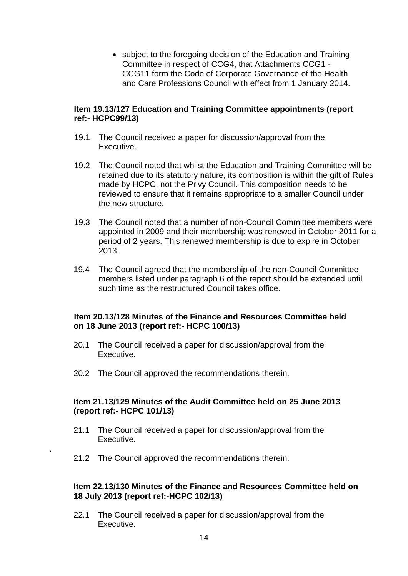• subject to the foregoing decision of the Education and Training Committee in respect of CCG4, that Attachments CCG1 - CCG11 form the Code of Corporate Governance of the Health and Care Professions Council with effect from 1 January 2014.

#### **Item 19.13/127 Education and Training Committee appointments (report ref:- HCPC99/13)**

- 19.1 The Council received a paper for discussion/approval from the Executive.
- 19.2 The Council noted that whilst the Education and Training Committee will be retained due to its statutory nature, its composition is within the gift of Rules made by HCPC, not the Privy Council. This composition needs to be reviewed to ensure that it remains appropriate to a smaller Council under the new structure.
- 19.3 The Council noted that a number of non-Council Committee members were appointed in 2009 and their membership was renewed in October 2011 for a period of 2 years. This renewed membership is due to expire in October 2013.
- 19.4 The Council agreed that the membership of the non-Council Committee members listed under paragraph 6 of the report should be extended until such time as the restructured Council takes office.

## **Item 20.13/128 Minutes of the Finance and Resources Committee held on 18 June 2013 (report ref:- HCPC 100/13)**

- 20.1 The Council received a paper for discussion/approval from the Executive.
- 20.2 The Council approved the recommendations therein.

# **Item 21.13/129 Minutes of the Audit Committee held on 25 June 2013 (report ref:- HCPC 101/13)**

- 21.1 The Council received a paper for discussion/approval from the Executive.
- 21.2 The Council approved the recommendations therein.

.

## **Item 22.13/130 Minutes of the Finance and Resources Committee held on 18 July 2013 (report ref:-HCPC 102/13)**

22.1 The Council received a paper for discussion/approval from the Executive.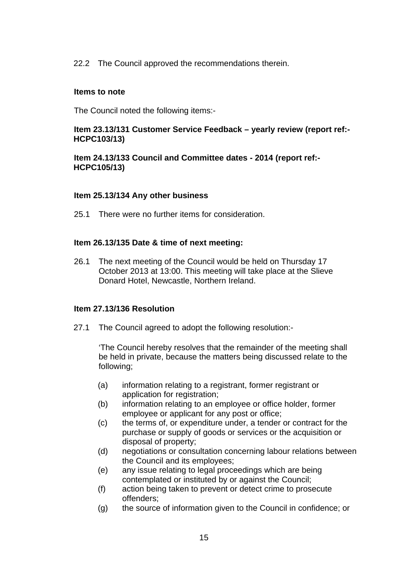22.2 The Council approved the recommendations therein.

#### **Items to note**

The Council noted the following items:-

# **Item 23.13/131 Customer Service Feedback – yearly review (report ref:- HCPC103/13)**

**Item 24.13/133 Council and Committee dates - 2014 (report ref:- HCPC105/13)** 

#### **Item 25.13/134 Any other business**

25.1 There were no further items for consideration.

## **Item 26.13/135 Date & time of next meeting:**

26.1 The next meeting of the Council would be held on Thursday 17 October 2013 at 13:00. This meeting will take place at the Slieve Donard Hotel, Newcastle, Northern Ireland.

## **Item 27.13/136 Resolution**

27.1 The Council agreed to adopt the following resolution:-

'The Council hereby resolves that the remainder of the meeting shall be held in private, because the matters being discussed relate to the following;

- (a) information relating to a registrant, former registrant or application for registration;
- (b) information relating to an employee or office holder, former employee or applicant for any post or office;
- (c) the terms of, or expenditure under, a tender or contract for the purchase or supply of goods or services or the acquisition or disposal of property;
- (d) negotiations or consultation concerning labour relations between the Council and its employees;
- (e) any issue relating to legal proceedings which are being contemplated or instituted by or against the Council;
- (f) action being taken to prevent or detect crime to prosecute offenders;
- (g) the source of information given to the Council in confidence; or